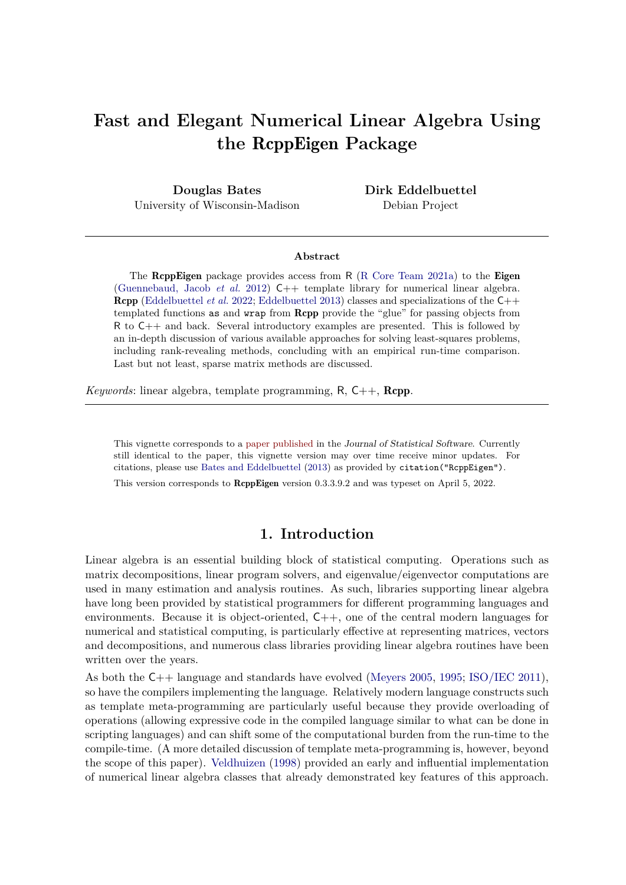# **Fast and Elegant Numerical Linear Algebra Using the** RcppEigen **Package**

**Douglas Bates** University of Wisconsin-Madison **Dirk Eddelbuettel** Debian Project

#### **Abstract**

The RcppEigen package provides access from R [\(R Core Team 2021a\)](#page-22-0) to the Eigen [\(Guennebaud, Jacob](#page-22-1) *et al.* [2012\)](#page-22-1) C++ template library for numerical linear algebra. Rcpp [\(Eddelbuettel](#page-22-2) *et al.* [2022;](#page-22-2) [Eddelbuettel 2013\)](#page-22-3) classes and specializations of the C++ templated functions as and wrap from Rcpp provide the "glue" for passing objects from R to C++ and back. Several introductory examples are presented. This is followed by an in-depth discussion of various available approaches for solving least-squares problems, including rank-revealing methods, concluding with an empirical run-time comparison. Last but not least, sparse matrix methods are discussed.

*Keywords*: linear algebra, template programming, R, C++, Rcpp.

This vignette corresponds to a [paper published](http://www.jstatsoft.org/v52/i05/) in the Journal of Statistical Software. Currently still identical to the paper, this vignette version may over time receive minor updates. For citations, please use [Bates and Eddelbuettel](#page-22-4) [\(2013\)](#page-22-4) as provided by citation("RcppEigen").

This version corresponds to RcppEigen version 0.3.3.9.2 and was typeset on April 5, 2022.

# **1. Introduction**

Linear algebra is an essential building block of statistical computing. Operations such as matrix decompositions, linear program solvers, and eigenvalue/eigenvector computations are used in many estimation and analysis routines. As such, libraries supporting linear algebra have long been provided by statistical programmers for different programming languages and environments. Because it is object-oriented, C++, one of the central modern languages for numerical and statistical computing, is particularly effective at representing matrices, vectors and decompositions, and numerous class libraries providing linear algebra routines have been written over the years.

As both the C++ language and standards have evolved [\(Meyers 2005,](#page-22-5) [1995;](#page-22-6) [ISO/IEC 2011\)](#page-22-7), so have the compilers implementing the language. Relatively modern language constructs such as template meta-programming are particularly useful because they provide overloading of operations (allowing expressive code in the compiled language similar to what can be done in scripting languages) and can shift some of the computational burden from the run-time to the compile-time. (A more detailed discussion of template meta-programming is, however, beyond the scope of this paper). [Veldhuizen](#page-23-0) [\(1998\)](#page-23-0) provided an early and influential implementation of numerical linear algebra classes that already demonstrated key features of this approach.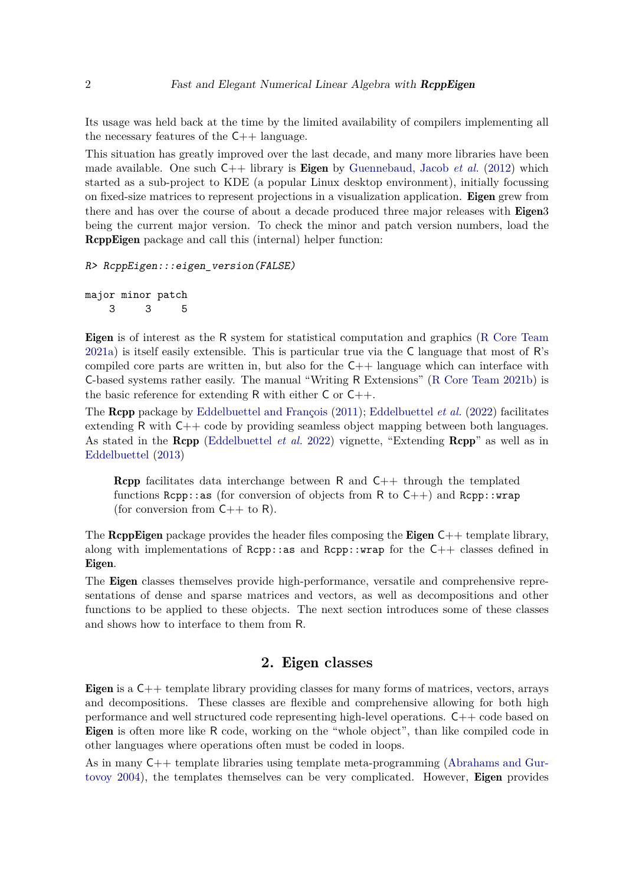Its usage was held back at the time by the limited availability of compilers implementing all the necessary features of the  $C++$  language.

This situation has greatly improved over the last decade, and many more libraries have been made available. One such C++ library is Eigen by [Guennebaud, Jacob](#page-22-1) *et al.* [\(2012\)](#page-22-1) which started as a sub-project to KDE (a popular Linux desktop environment), initially focussing on fixed-size matrices to represent projections in a visualization application. Eigen grew from there and has over the course of about a decade produced three major releases with **Eigen**3 being the current major version. To check the minor and patch version numbers, load the RcppEigen package and call this (internal) helper function:

```
R> RcppEigen:::eigen_version(FALSE)
```
major minor patch 3 3 5

Eigen is of interest as the R system for statistical computation and graphics [\(R Core Team](#page-22-0) [2021a\)](#page-22-0) is itself easily extensible. This is particular true via the C language that most of R's compiled core parts are written in, but also for the  $C++$  language which can interface with C-based systems rather easily. The manual "Writing R Extensions" [\(R Core Team 2021b\)](#page-22-8) is the basic reference for extending R with either  $C$  or  $C_{++}$ .

The Rcpp package by [Eddelbuettel and François](#page-22-9) [\(2011\)](#page-22-9); [Eddelbuettel](#page-22-2) *et al.* [\(2022\)](#page-22-2) facilitates extending R with C++ code by providing seamless object mapping between both languages. As stated in the Rcpp [\(Eddelbuettel](#page-22-2) *et al.* [2022\)](#page-22-2) vignette, "Extending Rcpp" as well as in [Eddelbuettel](#page-22-3) [\(2013\)](#page-22-3)

**Rcpp** facilitates data interchange between R and  $C++$  through the templated functions Rcpp::as (for conversion of objects from R to  $C_{++}$ ) and Rcpp::wrap (for conversion from  $C++$  to R).

The **RcppEigen** package provides the header files composing the **Eigen**  $C++$  template library, along with implementations of  $Rcpp::ax$  and  $Rcpp::wx$  for the  $C++$  classes defined in Eigen.

The Eigen classes themselves provide high-performance, versatile and comprehensive representations of dense and sparse matrices and vectors, as well as decompositions and other functions to be applied to these objects. The next section introduces some of these classes and shows how to interface to them from R.

# **2.** Eigen **classes**

Eigen is a C++ template library providing classes for many forms of matrices, vectors, arrays and decompositions. These classes are flexible and comprehensive allowing for both high performance and well structured code representing high-level operations. C++ code based on Eigen is often more like R code, working on the "whole object", than like compiled code in other languages where operations often must be coded in loops.

As in many C++ template libraries using template meta-programming [\(Abrahams and Gur](#page-22-10)[tovoy 2004\)](#page-22-10), the templates themselves can be very complicated. However, Eigen provides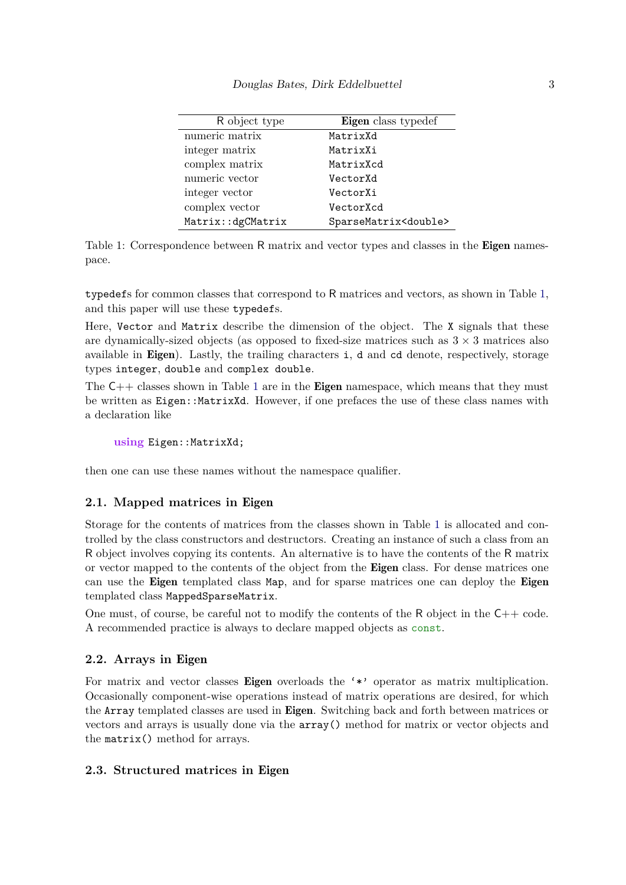#### Douglas Bates, Dirk Eddelbuettel 3

| R object type     | Eigen class typedef            |
|-------------------|--------------------------------|
| numeric matrix    | MatrixXd                       |
| integer matrix    | MatrixXi                       |
| complex matrix    | MatrixXcd                      |
| numeric vector    | VectorXd                       |
| integer vector    | VectorXi                       |
| complex vector    | VectorXcd                      |
| Matrix::dgCMatrix | SparseMatrix <double></double> |

<span id="page-2-0"></span>Table 1: Correspondence between R matrix and vector types and classes in the **Eigen** namespace.

typedefs for common classes that correspond to R matrices and vectors, as shown in Table [1,](#page-2-0) and this paper will use these typedefs.

Here, Vector and Matrix describe the dimension of the object. The X signals that these are dynamically-sized objects (as opposed to fixed-size matrices such as  $3 \times 3$  matrices also available in Eigen). Lastly, the trailing characters i, d and cd denote, respectively, storage types integer, double and complex double.

The  $C_{++}$  classes shown in Table [1](#page-2-0) are in the **Eigen** namespace, which means that they must be written as Eigen::MatrixXd. However, if one prefaces the use of these class names with a declaration like

using Eigen: : MatrixXd;

then one can use these names without the namespace qualifier.

### **2.1. Mapped matrices in** Eigen

Storage for the contents of matrices from the classes shown in Table [1](#page-2-0) is allocated and controlled by the class constructors and destructors. Creating an instance of such a class from an R object involves copying its contents. An alternative is to have the contents of the R matrix or vector mapped to the contents of the object from the Eigen class. For dense matrices one can use the Eigen templated class Map, and for sparse matrices one can deploy the Eigen templated class MappedSparseMatrix.

One must, of course, be careful not to modify the contents of the  $R$  object in the  $C++$  code. A recommended practice is always to declare mapped objects as const.

#### <span id="page-2-1"></span>**2.2. Arrays in** Eigen

For matrix and vector classes **Eigen** overloads the '\*' operator as matrix multiplication. Occasionally component-wise operations instead of matrix operations are desired, for which the Array templated classes are used in Eigen. Switching back and forth between matrices or vectors and arrays is usually done via the array() method for matrix or vector objects and the matrix() method for arrays.

### **2.3. Structured matrices in** Eigen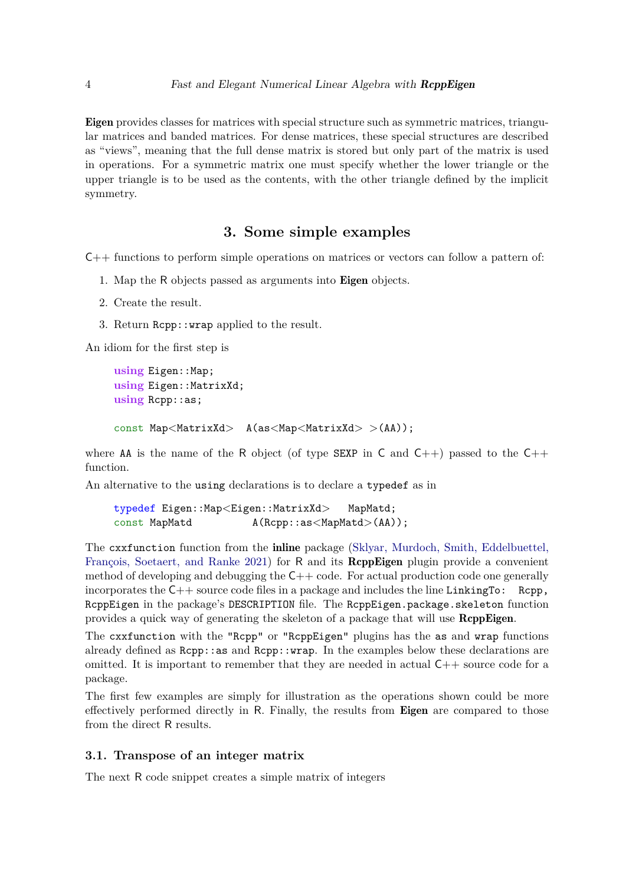Eigen provides classes for matrices with special structure such as symmetric matrices, triangular matrices and banded matrices. For dense matrices, these special structures are described as "views", meaning that the full dense matrix is stored but only part of the matrix is used in operations. For a symmetric matrix one must specify whether the lower triangle or the upper triangle is to be used as the contents, with the other triangle defined by the implicit symmetry.

### **3. Some simple examples**

C++ functions to perform simple operations on matrices or vectors can follow a pattern of:

- 1. Map the R objects passed as arguments into Eigen objects.
- 2. Create the result.
- 3. Return Rcpp::wrap applied to the result.

An idiom for the first step is

```
using Eigen::Map;
using Eigen: : MatrixXd;
using Rcpp::as;
const Map<MatrixXd> A(as<Map<MatrixXd> >(AA));
```
where AA is the name of the R object (of type SEXP in C and  $C_{++}$ ) passed to the  $C_{++}$ function.

An alternative to the using declarations is to declare a typedef as in

typedef Eigen::Map*<*Eigen::MatrixXd*>* MapMatd; const MapMatd  $A(Rcpp::as(AA));$ 

The cxxfunction function from the *inline* package [\(Sklyar, Murdoch, Smith, Eddelbuettel,](#page-23-1) [François, Soetaert, and Ranke 2021\)](#page-23-1) for R and its **ReppEigen** plugin provide a convenient method of developing and debugging the  $C++$  code. For actual production code one generally incorporates the  $C++$  source code files in a package and includes the line LinkingTo: Rcpp, RcppEigen in the package's DESCRIPTION file. The RcppEigen.package.skeleton function provides a quick way of generating the skeleton of a package that will use RcppEigen.

The cxxfunction with the "Rcpp" or "RcppEigen" plugins has the as and wrap functions already defined as  $Rep: :as$  and  $Rep: :w \times p$ . In the examples below these declarations are omitted. It is important to remember that they are needed in actual  $C++$  source code for a package.

The first few examples are simply for illustration as the operations shown could be more effectively performed directly in R. Finally, the results from Eigen are compared to those from the direct R results.

### **3.1. Transpose of an integer matrix**

The next R code snippet creates a simple matrix of integers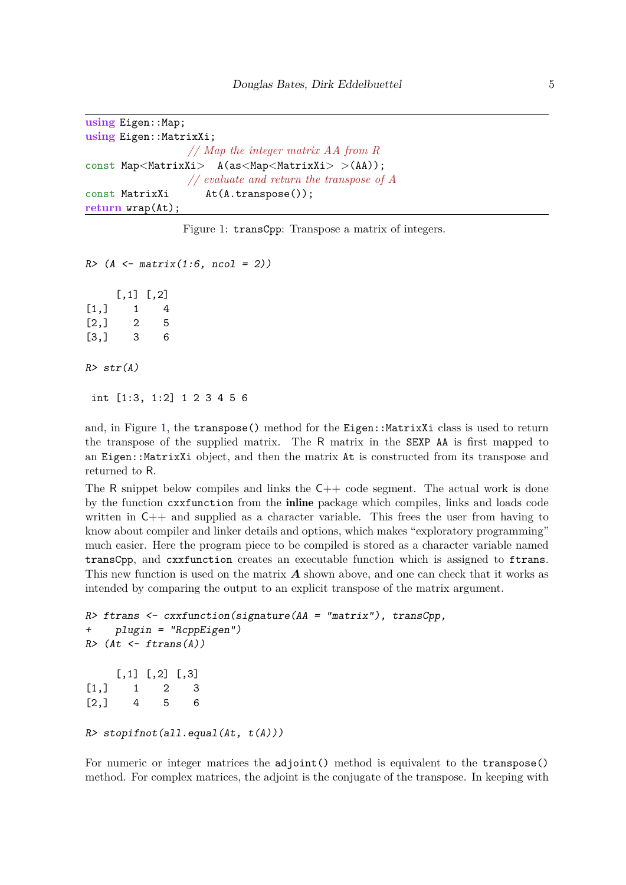```
using Eigen::Map;
using Eigen::MatrixXi;
                 // Map the integer matrix AA from R
const Map<MatrixXi> A(as<Map<MatrixXi> >(AA));
                 // evaluate and return the transpose of A
const MatrixXi At(A.transpose());
return wrap(At);
```
<span id="page-4-0"></span>Figure 1: transCpp: Transpose a matrix of integers.

*R> (A <- matrix(1:6, ncol = 2))*  $[0.1]$   $[0.2]$  $\begin{bmatrix} 1, \\ 1, \\ 1, \\ 4 \end{bmatrix}$  1 4  $[2,] 2 5$ [3,] 3 6 *R> str(A)* int [1:3, 1:2] 1 2 3 4 5 6

and, in Figure [1,](#page-4-0) the transpose() method for the Eigen::MatrixXi class is used to return the transpose of the supplied matrix. The R matrix in the SEXP AA is first mapped to an Eigen::MatrixXi object, and then the matrix At is constructed from its transpose and returned to R.

The R snippet below compiles and links the  $C++$  code segment. The actual work is done by the function cxxfunction from the inline package which compiles, links and loads code written in  $C++$  and supplied as a character variable. This frees the user from having to know about compiler and linker details and options, which makes "exploratory programming" much easier. Here the program piece to be compiled is stored as a character variable named transCpp, and cxxfunction creates an executable function which is assigned to ftrans. This new function is used on the matrix *A* shown above, and one can check that it works as intended by comparing the output to an explicit transpose of the matrix argument.

```
R> ftrans <- cxxfunction(signature(AA = "matrix"), transCpp,
    + plugin = "RcppEigen")
R> (At <- ftrans(A))
    [0,1] [0,2] [0,3][1,] 1 2 3
[2,] 4 5 6R> stopifnot(all.equal(At, t(A)))
```
For numeric or integer matrices the adjoint() method is equivalent to the transpose() method. For complex matrices, the adjoint is the conjugate of the transpose. In keeping with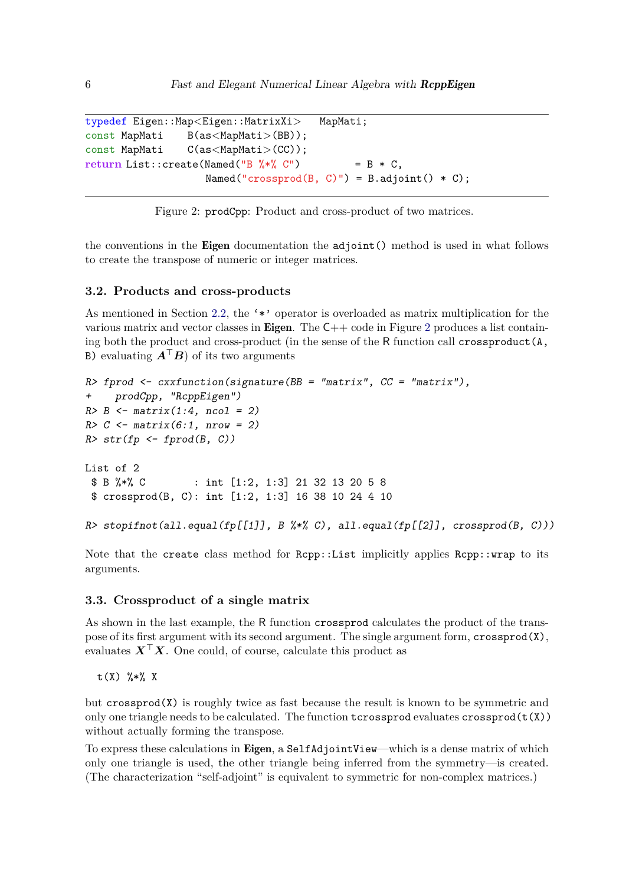```
typedef Eigen::Map<Eigen::MatrixXi> MapMati;
const MapMati B(as<MapMati>(BB));
const MapMati C(as<MapMati>(CC));
return List::create(Named("B \frac{9}{2} *\frac{9}{2} C") = B * C,
                    Named("crossprod(B, C)") = B.adjoint() * C);
```
<span id="page-5-0"></span>Figure 2: prodCpp: Product and cross-product of two matrices.

the conventions in the Eigen documentation the adjoint() method is used in what follows to create the transpose of numeric or integer matrices.

#### **3.2. Products and cross-products**

As mentioned in Section [2.2,](#page-2-1) the '\*' operator is overloaded as matrix multiplication for the various matrix and vector classes in **Eigen**. The  $C++$  code in Figure [2](#page-5-0) produces a list containing both the product and cross-product (in the sense of the R function call crossproduct(A, B) evaluating *A*⊤*B*) of its two arguments

```
R> fprod <- cxxfunction(signature(BB = "matrix", CC = "matrix"),
+ prodCpp, "RcppEigen")
R> B <- matrix(1:4, ncol = 2)
R> C <- matrix(6:1, nrow = 2)
R> str(fp <- fprod(B, C))
List of 2
 $ B %*% C : int [1:2, 1:3] 21 32 13 20 5 8
 $ crossprod(B, C): int [1:2, 1:3] 16 38 10 24 4 10
R> stopifnot(all.equal(fp[[1]], B \frac{1}{2}, all.equal(fp[[2]], crossprod(B, C)))
```
Note that the create class method for Rcpp::List implicitly applies Rcpp::wrap to its arguments.

#### **3.3. Crossproduct of a single matrix**

As shown in the last example, the R function crossprod calculates the product of the transpose of its first argument with its second argument. The single argument form, crossprod(X), evaluates  $X^{\top}X$ . One could, of course, calculate this product as

t(X) %\*% X

but  $c$ rossprod $(X)$  is roughly twice as fast because the result is known to be symmetric and only one triangle needs to be calculated. The function  $t$ crossprod evaluates crossprod $(t(X))$ without actually forming the transpose.

To express these calculations in Eigen, a SelfAdjointView—which is a dense matrix of which only one triangle is used, the other triangle being inferred from the symmetry—is created. (The characterization "self-adjoint" is equivalent to symmetric for non-complex matrices.)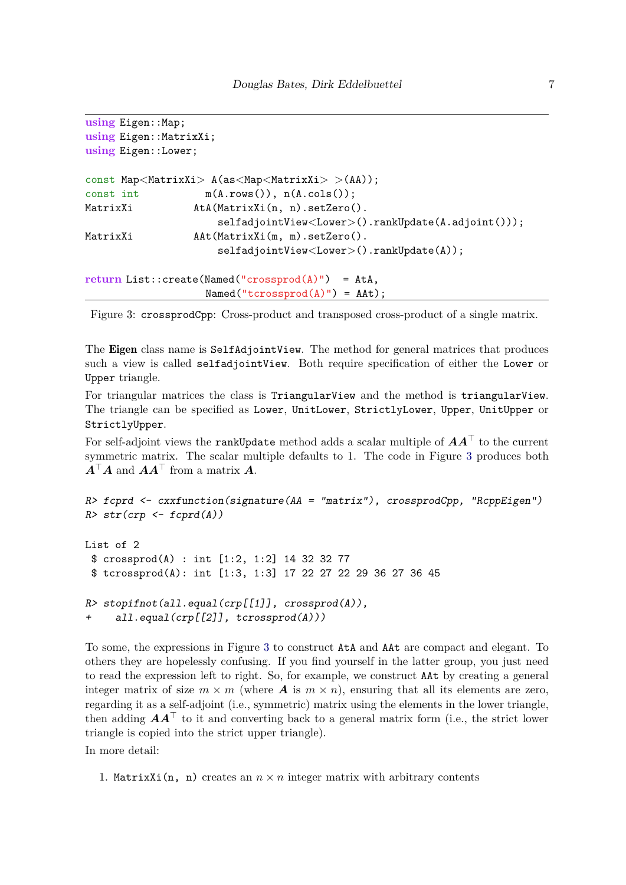```
using Eigen::Map;
using Eigen::MatrixXi;
using Eigen::Lower;
const Map<MatrixXi> A(as<Map<MatrixXi> >(AA));
const int m(A, rows()), n(A, cols());
MatrixXi AtA(MatrixXi(n, n).setZero().
                     selfadjointView<Lower>().rankUpdate(A.adjoint()));
MatrixXi AAt(MatrixXi(m, m).setZero().
                    selfadjointView<Lower>().rankUpdate(A));
return List::create(Named("crossprod(A)") = AtA,
                  Named("tcrossprod(A)") = AAt);
```
<span id="page-6-0"></span>Figure 3: crossprodCpp: Cross-product and transposed cross-product of a single matrix.

The Eigen class name is SelfAdjointView. The method for general matrices that produces such a view is called selfadjointView. Both require specification of either the Lower or Upper triangle.

For triangular matrices the class is TriangularView and the method is triangularView. The triangle can be specified as Lower, UnitLower, StrictlyLower, Upper, UnitUpper or StrictlyUpper.

For self-adjoint views the rankUpdate method adds a scalar multiple of *AA*<sup>⊤</sup> to the current symmetric matrix. The scalar multiple defaults to 1. The code in Figure [3](#page-6-0) produces both  $A^{\top}A$  and  $AA^{\top}$  from a matrix  $A$ .

```
R> fcprd <- cxxfunction(signature(AA = "matrix"), crossprodCpp, "RcppEigen")
R> str(crp <- fcprd(A))
List of 2
 $ crossprod(A) : int [1:2, 1:2] 14 32 32 77
 $ tcrossprod(A): int [1:3, 1:3] 17 22 27 22 29 36 27 36 45
R> stopifnot(all.equal(crp[[1]], crossprod(A)),
+ all.equal(crp[[2]], tcrossprod(A)))
```
To some, the expressions in Figure [3](#page-6-0) to construct AtA and AAt are compact and elegant. To others they are hopelessly confusing. If you find yourself in the latter group, you just need to read the expression left to right. So, for example, we construct AAt by creating a general integer matrix of size  $m \times m$  (where **A** is  $m \times n$ ), ensuring that all its elements are zero, regarding it as a self-adjoint (i.e., symmetric) matrix using the elements in the lower triangle, then adding  $AA^{\top}$  to it and converting back to a general matrix form (i.e., the strict lower triangle is copied into the strict upper triangle).

In more detail:

1. MatrixXi(n, n) creates an  $n \times n$  integer matrix with arbitrary contents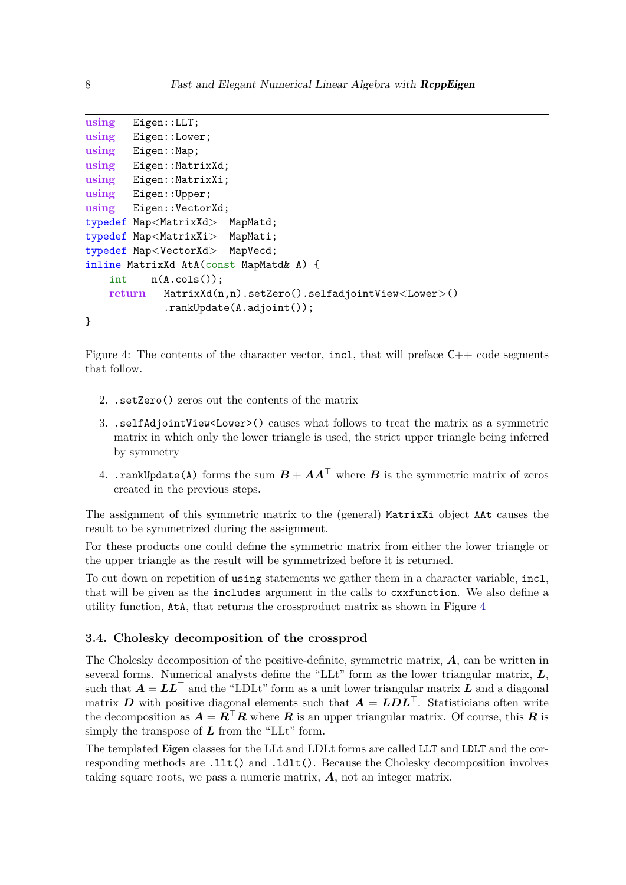```
using Eigen::LLT;
using Eigen::Lower;
using Eigen::Map;
using Eigen::MatrixXd;
using Eigen::MatrixXi;
using Eigen::Upper;
using Eigen::VectorXd;
typedef Map<MatrixXd> MapMatd;
typedef Map<MatrixXi> MapMati;
typedef Map<VectorXd> MapVecd;
inline MatrixXd AtA(const MapMatd& A) {
   int n(A.cols());
   return MatrixXd(n,n).setZero().selfadjointView<Lower>()
            .rankUpdate(A.adjoint());
}
```
<span id="page-7-0"></span>Figure 4: The contents of the character vector, incl, that will preface  $C++$  code segments that follow.

- 2. .setZero() zeros out the contents of the matrix
- 3. .selfAdjointView<Lower>() causes what follows to treat the matrix as a symmetric matrix in which only the lower triangle is used, the strict upper triangle being inferred by symmetry
- 4. .rankUpdate(A) forms the sum  $B + AA^{\top}$  where *B* is the symmetric matrix of zeros created in the previous steps.

The assignment of this symmetric matrix to the (general) MatrixXi object AAt causes the result to be symmetrized during the assignment.

For these products one could define the symmetric matrix from either the lower triangle or the upper triangle as the result will be symmetrized before it is returned.

To cut down on repetition of using statements we gather them in a character variable, incl, that will be given as the includes argument in the calls to cxxfunction. We also define a utility function, AtA, that returns the crossproduct matrix as shown in Figure [4](#page-7-0)

### **3.4. Cholesky decomposition of the crossprod**

The Cholesky decomposition of the positive-definite, symmetric matrix, *A*, can be written in several forms. Numerical analysts define the "LLt" form as the lower triangular matrix, *L*, such that  $A = LL^{\top}$  and the "LDLt" form as a unit lower triangular matrix *L* and a diagonal matrix *D* with positive diagonal elements such that  $A = LDL$ <sup>T</sup>. Statisticians often write the decomposition as  $A = R^{\top}R$  where *R* is an upper triangular matrix. Of course, this *R* is simply the transpose of  $L$  from the "LLt" form.

The templated Eigen classes for the LLt and LDLt forms are called LLT and LDLT and the corresponding methods are .llt() and .ldlt(). Because the Cholesky decomposition involves taking square roots, we pass a numeric matrix, *A*, not an integer matrix.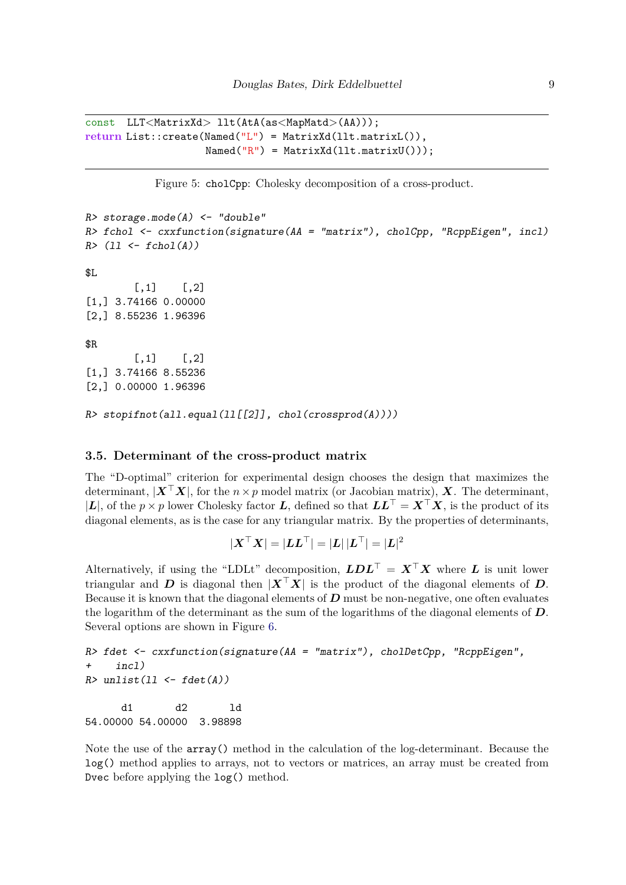```
const LLT<MatrixXd> llt(AtA(as<MapMatd>(AA)));
return List::create(Named("L") = MatrixXd(llt.matrixL()),
                   Named("R") = MatrixXd(llt.matrixU());
```

```
Figure 5: cholCpp: Cholesky decomposition of a cross-product.
```

```
R> storage.mode(A) <- "double"
R> fchol <- cxxfunction(signature(AA = "matrix"), cholCpp, "RcppEigen", incl)
R> (ll <- fchol(A))
$L
        [,1] [,2][1,] 3.74166 0.00000
[2,] 8.55236 1.96396
$R
        [,1] [,2][1,] 3.74166 8.55236
[2,] 0.00000 1.96396
R> stopifnot(all.equal(ll[[2]], chol(crossprod(A))))
```
### **3.5. Determinant of the cross-product matrix**

The "D-optimal" criterion for experimental design chooses the design that maximizes the determinant,  $|\mathbf{X}^T\mathbf{X}|$ , for the  $n \times p$  model matrix (or Jacobian matrix),  $\mathbf{X}$ . The determinant, |*L*|, of the *p* × *p* lower Cholesky factor *L*, defined so that  $LL^\top = X^\top X$ , is the product of its diagonal elements, as is the case for any triangular matrix. By the properties of determinants,

$$
|\boldsymbol X^\top\boldsymbol X|=|\boldsymbol L\boldsymbol L^\top|=|\boldsymbol L|\,|\boldsymbol L^\top|=|\boldsymbol L|^2
$$

Alternatively, if using the "LDLt" decomposition,  $LDL^{\top} = X^{\top}X$  where *L* is unit lower triangular and *D* is diagonal then  $|X^{\top}X|$  is the product of the diagonal elements of *D*. Because it is known that the diagonal elements of *D* must be non-negative, one often evaluates the logarithm of the determinant as the sum of the logarithms of the diagonal elements of *D*. Several options are shown in Figure [6.](#page-9-0)

```
R> fdet <- cxxfunction(signature(AA = "matrix"), cholDetCpp, "RcppEigen",
+ incl)
R> unlist(ll <- fdet(A))
     d1 d2 ld
54.00000 54.00000 3.98898
```
Note the use of the array() method in the calculation of the log-determinant. Because the log() method applies to arrays, not to vectors or matrices, an array must be created from Dvec before applying the log() method.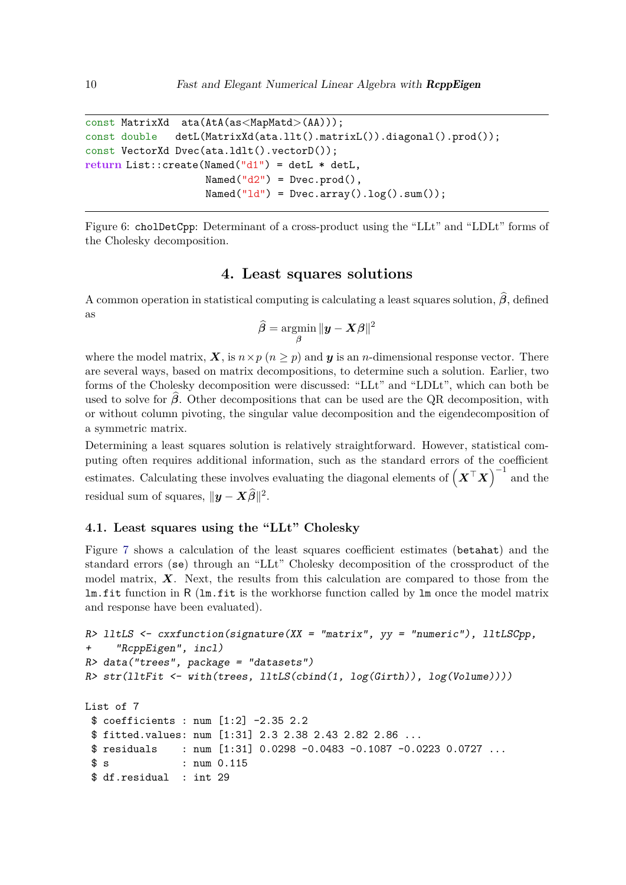```
const MatrixXd ata(AtA(as<MapMatd>(AA)));
const double detL(MatrixXd(ata.llt().matrixL()).diagonal().prod());
const VectorXd Dvec(ata.ldlt().vectorD());
return List::create(Named("d1") = detL * detL,
                   Named("d2") = Dvec.prod(),
                   Named("ld") = Dvec.array().log().sum());
```
<span id="page-9-0"></span>Figure 6: cholDetCpp: Determinant of a cross-product using the "LLt" and "LDLt" forms of the Cholesky decomposition.

# **4. Least squares solutions**

A common operation in statistical computing is calculating a least squares solution,  $\hat{\beta}$ , defined as

$$
\widehat{\boldsymbol{\beta}} = \operatornamewithlimits{argmin}_{\boldsymbol{\beta}} \| \boldsymbol{y} - \boldsymbol{X} \boldsymbol{\beta}\|^2
$$

where the model matrix,  $\mathbf{X}$ , is  $n \times p$  ( $n \geq p$ ) and  $\mathbf{y}$  is an *n*-dimensional response vector. There are several ways, based on matrix decompositions, to determine such a solution. Earlier, two forms of the Cholesky decomposition were discussed: "LLt" and "LDLt", which can both be used to solve for  $\beta$ . Other decompositions that can be used are the QR decomposition, with or without column pivoting, the singular value decomposition and the eigendecomposition of a symmetric matrix.

Determining a least squares solution is relatively straightforward. However, statistical computing often requires additional information, such as the standard errors of the coefficient estimates. Calculating these involves evaluating the diagonal elements of  $(X<sup>T</sup>X)^{-1}$  and the residual sum of squares,  $\|\boldsymbol{y} - \boldsymbol{X}\widehat{\boldsymbol{\beta}}\|^2$ .

### **4.1. Least squares using the "LLt" Cholesky**

Figure [7](#page-10-0) shows a calculation of the least squares coefficient estimates (betahat) and the standard errors (se) through an "LLt" Cholesky decomposition of the crossproduct of the model matrix, *X*. Next, the results from this calculation are compared to those from the lm.fit function in R (lm.fit is the workhorse function called by lm once the model matrix and response have been evaluated).

```
R> lltLS <- cxxfunction(signature(XX = "matrix", yy = "numeric"), lltLSCpp,
     + "RcppEigen", incl)
R> data("trees", package = "datasets")
R> str(lltFit <- with(trees, lltLS(cbind(1, log(Girth)), log(Volume))))
List of 7
 $ coefficients : num [1:2] -2.35 2.2
 $ fitted.values: num [1:31] 2.3 2.38 2.43 2.82 2.86 ...
 $ residuals : num [1:31] 0.0298 -0.0483 -0.1087 -0.0223 0.0727 ...
 $ s : num 0.115
 $ df.residual : int 29
```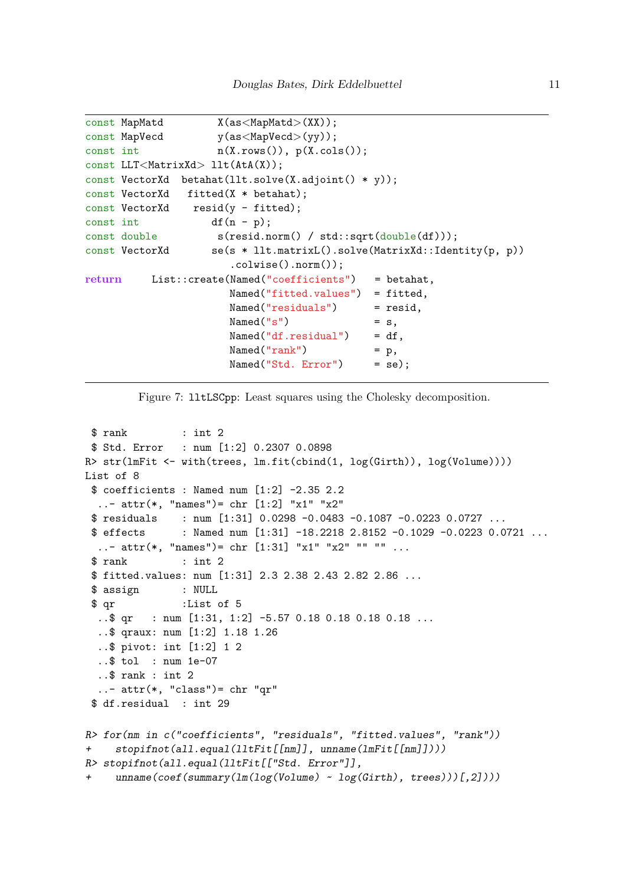```
const MapMatd X(as<MapMatd>(XX));
const MapVecd y(as<MapVecd>(yy));
const int n(X.\text{rows}(), p(X.\text{cols}());const LLT<MatrixXd> llt(AtA(X));
const VectorXd betahat(llt.solve(X.adjoint() * y));
const VectorXd fitted(X * betahat);
const VectorXd resid(y - fitted);
const int df(n - p);
const double s(resid.norm() / std::sqrt(double(df));const VectorXd se(s * llt.matrixL().solve(MatrixXd::Identity(p, p))
                     .colwise().norm());
return List::create(Named("coefficients") = betahat,
                     Named("fitted.values") = fitted,
                     Named("residuals") = resid,
                     Named("s") = s,
                     Named("df.residual") = df,
                     Named("rank") = p,
                     Named("Std. Error") = se);
```
<span id="page-10-0"></span>Figure 7: lltLSCpp: Least squares using the Cholesky decomposition.

```
$ rank : int 2$ Std. Error : num [1:2] 0.2307 0.0898
R> str(lmFit <- with(trees, lm.fit(cbind(1, log(Girth)), log(Volume))))
List of 8
 $ coefficients : Named num [1:2] -2.35 2.2..- attr(*, "names")= chr [1:2] "x1" "x2"<br>$ residuals : num [1:31] 0.0298 -0.0483
               : num [1:31] 0.0298 -0.0483 -0.1087 -0.0223 0.0727 ...$ effects : Named num [1:31] -18.2218 2.8152 -0.1029 -0.0223 0.0721 ...
  ..- attr(*, "names") = chr [1:31] "x1" "x2" " " " " ...$ rank : int 2
 $ fitted.values: num [1:31] 2.3 2.38 2.43 2.82 2.86 ...
 $ assign : NULL
 $ qr :List of 5
  ..$ qr : num [1:31, 1:2] -5.57 0.18 0.18 0.18 0.18 ...
  ..$ qraux: num [1:2] 1.18 1.26
  ..$ pivot: int [1:2] 1 2
  ..$ tol : num 1e-07
  ..$ rank : int 2
  \ldots - attr(*, "class")= chr "qr"
 $ df.residual : int 29
R> for(nm in c("coefficients", "residuals", "fitted.values", "rank"))
+ stopifnot(all.equal(lltFit[[nm]], unname(lmFit[[nm]])))
R> stopifnot(all.equal(lltFit[["Std. Error"]],
     + unname(coef(summary(lm(log(Volume) ~ log(Girth), trees)))[,2])))
```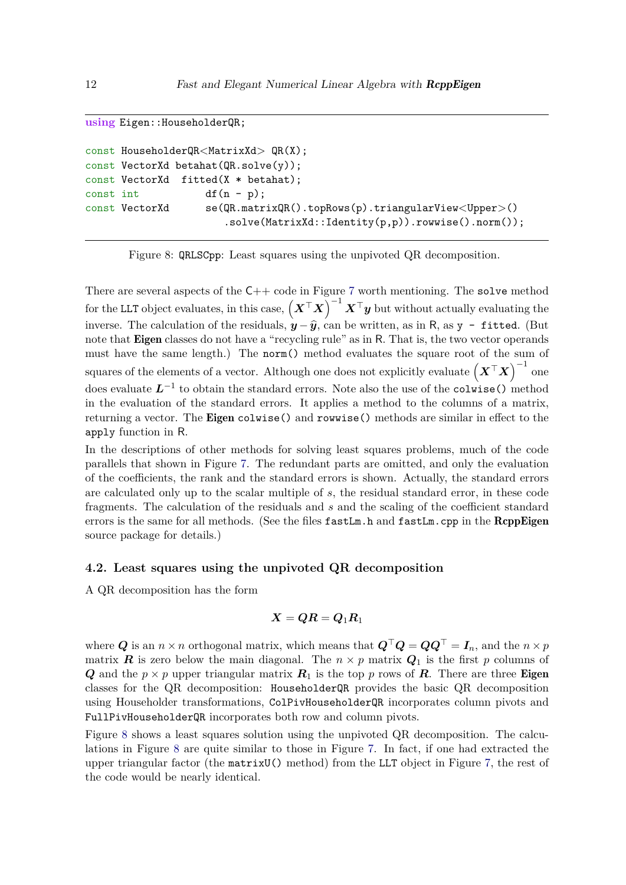```
using Eigen::HouseholderQR;
```

```
const HouseholderQR<MatrixXd> QR(X);
const VectorXd betahat(QR.solve(y));
const VectorXd fitted(X * betahat);
const int df(n - p);
const VectorXd se(QR.matrixQR().topRows(p).triangularView<Upper>()
                      .solve(MatrixXd::Identity(p,p)).rowwise().norm());
```
<span id="page-11-0"></span>Figure 8: QRLSCpp: Least squares using the unpivoted QR decomposition.

There are several aspects of the  $C++$  code in Figure [7](#page-10-0) worth mentioning. The solve method for the LLT object evaluates, in this case,  $(X^{\top}X)^{-1}X^{\top}y$  but without actually evaluating the inverse. The calculation of the residuals,  $y - \hat{y}$ , can be written, as in R, as y - fitted. (But note that Eigen classes do not have a "recycling rule" as in R. That is, the two vector operands must have the same length.) The norm() method evaluates the square root of the sum of squares of the elements of a vector. Although one does not explicitly evaluate  $(X<sup>⊤</sup>X)^{-1}$  one does evaluate  $L^{-1}$  to obtain the standard errors. Note also the use of the colwise() method in the evaluation of the standard errors. It applies a method to the columns of a matrix, returning a vector. The Eigen colwise() and rowwise() methods are similar in effect to the apply function in R.

In the descriptions of other methods for solving least squares problems, much of the code parallels that shown in Figure [7.](#page-10-0) The redundant parts are omitted, and only the evaluation of the coefficients, the rank and the standard errors is shown. Actually, the standard errors are calculated only up to the scalar multiple of *s*, the residual standard error, in these code fragments. The calculation of the residuals and *s* and the scaling of the coefficient standard errors is the same for all methods. (See the files  $f$  astLm.h and  $f$  astLm.cpp in the RcppEigen source package for details.)

### **4.2. Least squares using the unpivoted QR decomposition**

A QR decomposition has the form

$$
\boldsymbol{X} = \boldsymbol{Q} \boldsymbol{R} = \boldsymbol{Q}_1 \boldsymbol{R}_1
$$

where *Q* is an *n* × *n* orthogonal matrix, which means that  $Q^{\top}Q = QQ^{\top} = I_n$ , and the *n* × *p* matrix *R* is zero below the main diagonal. The  $n \times p$  matrix  $Q_1$  is the first p columns of *Q* and the  $p \times p$  upper triangular matrix  $R_1$  is the top *p* rows of *R*. There are three Eigen classes for the QR decomposition: HouseholderQR provides the basic QR decomposition using Householder transformations, ColPivHouseholderQR incorporates column pivots and FullPivHouseholderQR incorporates both row and column pivots.

Figure [8](#page-11-0) shows a least squares solution using the unpivoted QR decomposition. The calculations in Figure [8](#page-11-0) are quite similar to those in Figure [7.](#page-10-0) In fact, if one had extracted the upper triangular factor (the matrixU() method) from the LLT object in Figure [7,](#page-10-0) the rest of the code would be nearly identical.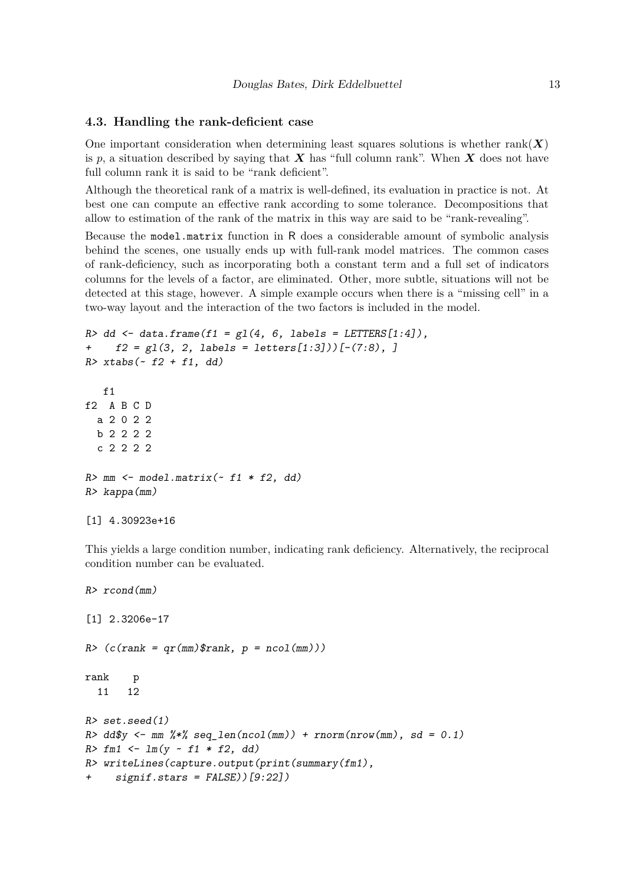#### **4.3. Handling the rank-deficient case**

One important consideration when determining least squares solutions is whether  $rank(X)$ is p, a situation described by saying that  $\boldsymbol{X}$  has "full column rank". When  $\boldsymbol{X}$  does not have full column rank it is said to be "rank deficient".

Although the theoretical rank of a matrix is well-defined, its evaluation in practice is not. At best one can compute an effective rank according to some tolerance. Decompositions that allow to estimation of the rank of the matrix in this way are said to be "rank-revealing".

Because the model.matrix function in R does a considerable amount of symbolic analysis behind the scenes, one usually ends up with full-rank model matrices. The common cases of rank-deficiency, such as incorporating both a constant term and a full set of indicators columns for the levels of a factor, are eliminated. Other, more subtle, situations will not be detected at this stage, however. A simple example occurs when there is a "missing cell" in a two-way layout and the interaction of the two factors is included in the model.

```
R> dd <- data.frame(f1 = gl(4, 6, labels = LETTERS[1:4]),
+ f2 = gl(3, 2, labels = letters[1:3]))[-(7:8), ]
R> xtabs(~ f2 + f1, dd)
   f1
f2 A B C D
 a 2 0 2 2
 b 2 2 2 2
 c 2 2 2 2
R> mm <- model.matrix(~ f1 * f2, dd)
R> kappa(mm)
[1] 4.30923e+16
```
This yields a large condition number, indicating rank deficiency. Alternatively, the reciprocal condition number can be evaluated.

```
R> rcond(mm)
[1] 2.3206e-17
R (c(rank = qr(mm)$rank, p = ncol(mm)))
rank p
 11 12
R> set.seed(1)
R> dd$y <- mm %*% seq_len(ncol(mm)) + rnorm(nrow(mm), sd = 0.1)
R> fm1 <- lm(y ~ f1 * f2, dd)
R> writeLines(capture.output(print(summary(fm1),
     + signif.stars = FALSE))[9:22])
```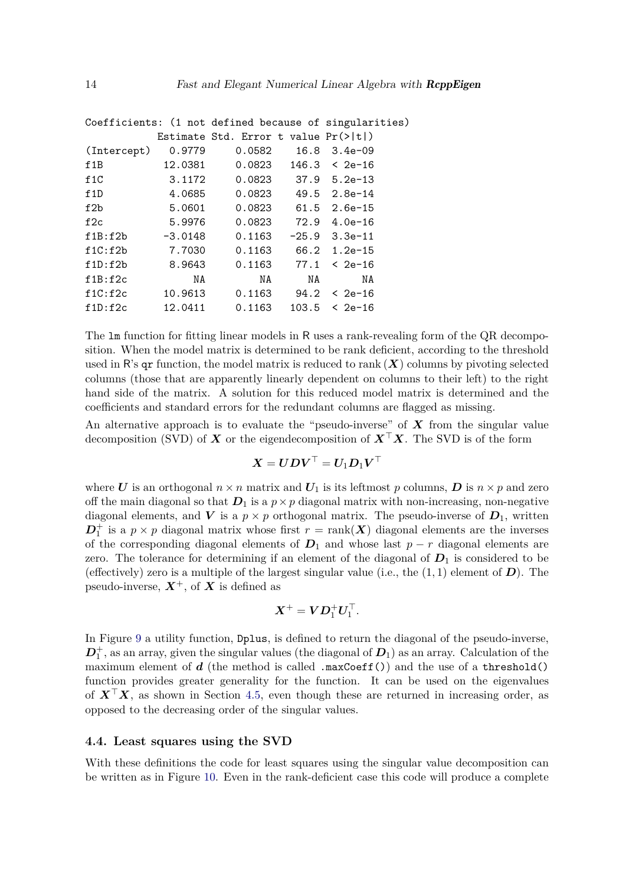|             |           |                                                  |       | Coefficients: (1 not defined because of singularities) |
|-------------|-----------|--------------------------------------------------|-------|--------------------------------------------------------|
|             |           | Estimate Std. Error t value $Pr(>\vert t \vert)$ |       |                                                        |
| (Intercept) | 0.9779    | 0.0582                                           | 16.8  | $3.4e-09$                                              |
| f1B         | 12.0381   | 0.0823                                           |       | $146.3 \leq 2e-16$                                     |
| f1C         | 3.1172    | 0.0823                                           |       | 37.9 5.2e-13                                           |
| f1D         | 4.0685    | 0.0823                                           |       | $49.5$ $2.8e-14$                                       |
| f2b         | 5.0601    | 0.0823                                           |       | $61.5$ $2.6e-15$                                       |
| f2c         | 5.9976    | 0.0823                                           | 72.9  | 4.0e-16                                                |
| f1B:f2b     | $-3.0148$ | 0.1163                                           |       | $-25.9$ 3.3e-11                                        |
| f1C: f2b    | 7.7030    | 0.1163                                           |       | 66.2 1.2e-15                                           |
| f1D:f2b     | 8.9643    | 0.1163                                           |       | $77.1 \leq 2e-16$                                      |
| f1B:f2c     | NA        | NA                                               | NA    | NA                                                     |
| f1C:f2c     | 10.9613   | 0.1163                                           | 94.2  | $& 2e-16$                                              |
| f1D:f2c     | 12.0411   | 0.1163                                           | 103.5 | < 2e-16                                                |
|             |           |                                                  |       |                                                        |

The lm function for fitting linear models in R uses a rank-revealing form of the QR decomposition. When the model matrix is determined to be rank deficient, according to the threshold used in R's  $\alpha$  function, the model matrix is reduced to rank  $(X)$  columns by pivoting selected columns (those that are apparently linearly dependent on columns to their left) to the right hand side of the matrix. A solution for this reduced model matrix is determined and the coefficients and standard errors for the redundant columns are flagged as missing.

An alternative approach is to evaluate the "pseudo-inverse" of *X* from the singular value decomposition (SVD) of *X* or the eigendecomposition of *X*⊤*X*. The SVD is of the form

$$
\boldsymbol{X} = \boldsymbol{U}\boldsymbol{D}\boldsymbol{V}^\top = \boldsymbol{U}_1\boldsymbol{D}_1\boldsymbol{V}^\top
$$

where *U* is an orthogonal  $n \times n$  matrix and  $U_1$  is its leftmost *p* columns, *D* is  $n \times p$  and zero off the main diagonal so that  $D_1$  is a  $p \times p$  diagonal matrix with non-increasing, non-negative diagonal elements, and *V* is a  $p \times p$  orthogonal matrix. The pseudo-inverse of  $D_1$ , written  $D_1^+$  is a  $p \times p$  diagonal matrix whose first  $r = \text{rank}(\boldsymbol{X})$  diagonal elements are the inverses of the corresponding diagonal elements of  $D_1$  and whose last  $p - r$  diagonal elements are zero. The tolerance for determining if an element of the diagonal of  $D_1$  is considered to be (effectively) zero is a multiple of the largest singular value (i.e., the  $(1, 1)$  element of  $\boldsymbol{D}$ ). The pseudo-inverse,  $X^+$ , of X is defined as

$$
\boldsymbol{X}^+ = \boldsymbol{V}\boldsymbol{D}_1^+\boldsymbol{U}_1^\top.
$$

In Figure [9](#page-14-0) a utility function, Dplus, is defined to return the diagonal of the pseudo-inverse,  $D_1^+$ , as an array, given the singular values (the diagonal of  $D_1$ ) as an array. Calculation of the maximum element of *d* (the method is called .maxCoeff()) and the use of a threshold() function provides greater generality for the function. It can be used on the eigenvalues of *X*⊤*X*, as shown in Section [4.5,](#page-15-0) even though these are returned in increasing order, as opposed to the decreasing order of the singular values.

### **4.4. Least squares using the SVD**

With these definitions the code for least squares using the singular value decomposition can be written as in Figure [10.](#page-14-1) Even in the rank-deficient case this code will produce a complete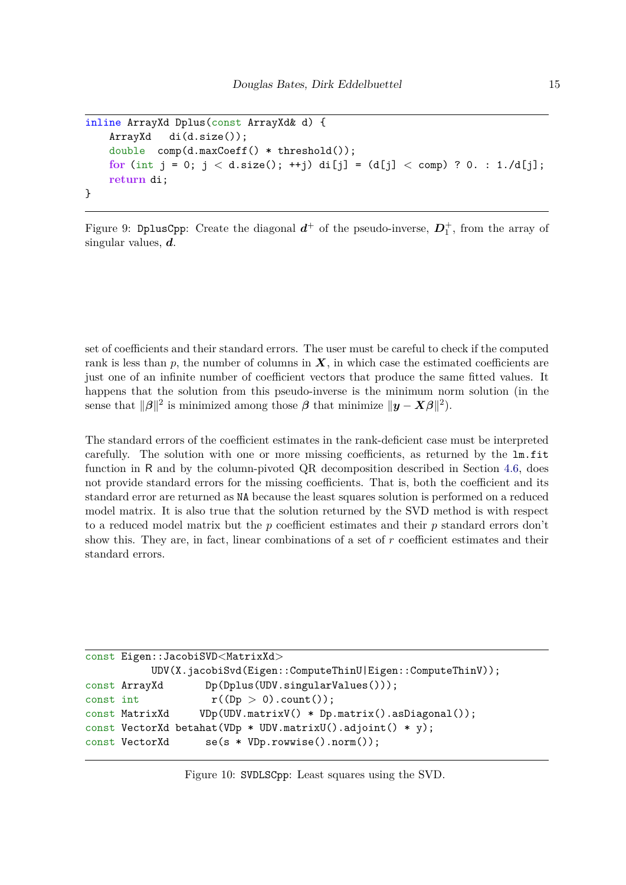```
inline ArrayXd Dplus(const ArrayXd& d) {
   ArrayXd di(d.size());
   double comp(d.maxCoeff() * threshold());
   for (int j = 0; j < d.size(); ++j) di[j] = (d[j] < comp) ? 0. : 1./d[j];
   return di;
}
```
<span id="page-14-0"></span>Figure 9: DplusCpp: Create the diagonal  $d^+$  of the pseudo-inverse,  $D_1^+$ , from the array of singular values, *d*.

set of coefficients and their standard errors. The user must be careful to check if the computed rank is less than  $p$ , the number of columns in  $X$ , in which case the estimated coefficients are just one of an infinite number of coefficient vectors that produce the same fitted values. It happens that the solution from this pseudo-inverse is the minimum norm solution (in the sense that  $\|\beta\|^2$  is minimized among those  $\beta$  that minimize  $\|\mathbf{y} - \mathbf{X}\beta\|^2$ .

The standard errors of the coefficient estimates in the rank-deficient case must be interpreted carefully. The solution with one or more missing coefficients, as returned by the lm.fit function in R and by the column-pivoted QR decomposition described in Section [4.6,](#page-15-1) does not provide standard errors for the missing coefficients. That is, both the coefficient and its standard error are returned as NA because the least squares solution is performed on a reduced model matrix. It is also true that the solution returned by the SVD method is with respect to a reduced model matrix but the *p* coefficient estimates and their *p* standard errors don't show this. They are, in fact, linear combinations of a set of *r* coefficient estimates and their standard errors.

```
const Eigen::JacobiSVD<MatrixXd>
          UDV(X.jacobiSvd(Eigen::ComputeThinU|Eigen::ComputeThinV));
const ArrayXd Dp(Dplus(UDV.singularValues()));
const int r((Dp > 0).count());
const MatrixXd VDp(UDV.matrixV() * Dp.matrix().asDiagonal());
const VectorXd betahat(VDp * UDV.matrixU().adjoint() * y);
const VectorXd se(s * VDp.rowwise().norm());
```
<span id="page-14-1"></span>Figure 10: SVDLSCpp: Least squares using the SVD.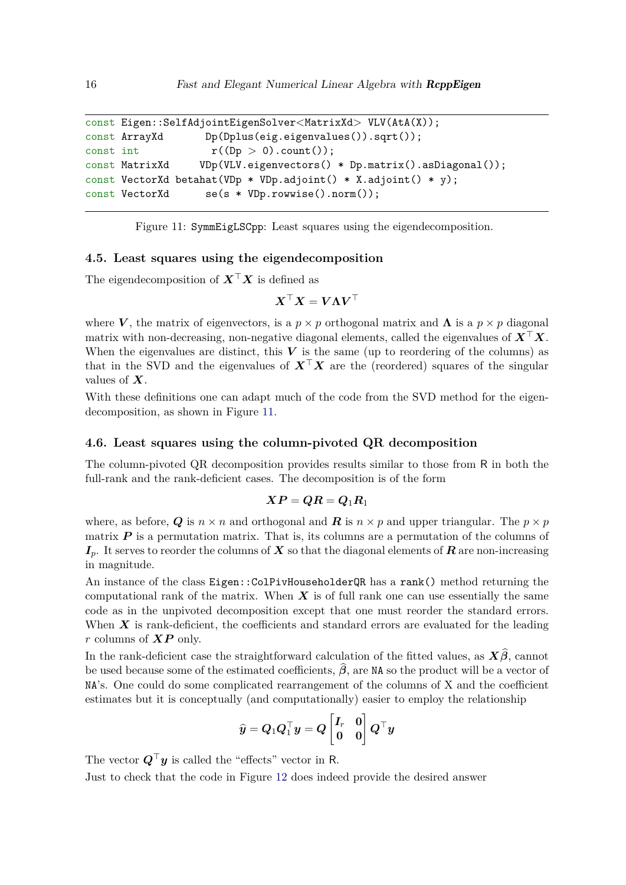```
const Eigen::SelfAdjointEigenSolver<MatrixXd> VLV(AtA(X));
const ArrayXd Dp(Dplus(eig.eigenvalues()).sqrt());
const int r((Dp > 0).count());
const MatrixXd VDp(VLV.eigenvectors() * Dp.matrix().asDiagonal());
const VectorXd betahat(VDp * VDp.adjoint() * X.adjoint() * y);
const VectorXd se(s * VDp.rowwise().norm());
```
<span id="page-15-2"></span>Figure 11: SymmEigLSCpp: Least squares using the eigendecomposition.

### <span id="page-15-0"></span>**4.5. Least squares using the eigendecomposition**

The eigendecomposition of *X*⊤*X* is defined as

$$
\boldsymbol X^\top\boldsymbol X=\boldsymbol V\boldsymbol\Lambda\boldsymbol V^\top
$$

where *V*, the matrix of eigenvectors, is a  $p \times p$  orthogonal matrix and  $\Lambda$  is a  $p \times p$  diagonal matrix with non-decreasing, non-negative diagonal elements, called the eigenvalues of *X*⊤*X*. When the eigenvalues are distinct, this  $V$  is the same (up to reordering of the columns) as that in the SVD and the eigenvalues of  $X^{\top}X$  are the (reordered) squares of the singular values of *X*.

With these definitions one can adapt much of the code from the SVD method for the eigendecomposition, as shown in Figure [11.](#page-15-2)

### <span id="page-15-1"></span>**4.6. Least squares using the column-pivoted QR decomposition**

The column-pivoted QR decomposition provides results similar to those from R in both the full-rank and the rank-deficient cases. The decomposition is of the form

$$
\boldsymbol{XP}=\boldsymbol{Q}\boldsymbol{R}=\boldsymbol{Q}_1\boldsymbol{R}_1
$$

where, as before, *Q* is  $n \times n$  and orthogonal and *R* is  $n \times p$  and upper triangular. The  $p \times p$ matrix  $P$  is a permutation matrix. That is, its columns are a permutation of the columns of  $I_p$ . It serves to reorder the columns of *X* so that the diagonal elements of *R* are non-increasing in magnitude.

An instance of the class Eigen::ColPivHouseholderQR has a rank() method returning the computational rank of the matrix. When  $X$  is of full rank one can use essentially the same code as in the unpivoted decomposition except that one must reorder the standard errors. When **X** is rank-deficient, the coefficients and standard errors are evaluated for the leading *r* columns of *XP* only.

In the rank-deficient case the straightforward calculation of the fitted values, as  $X\hat{\beta}$ , cannot be used because some of the estimated coefficients,  $\hat{\beta}$ , are NA so the product will be a vector of NA's. One could do some complicated rearrangement of the columns of X and the coefficient estimates but it is conceptually (and computationally) easier to employ the relationship

$$
\widehat{y} = Q_1 Q_1^\top y = Q \begin{bmatrix} I_r & 0 \\ 0 & 0 \end{bmatrix} Q^\top y
$$

The vector  $Q^{\top}y$  is called the "effects" vector in R.

Just to check that the code in Figure [12](#page-16-0) does indeed provide the desired answer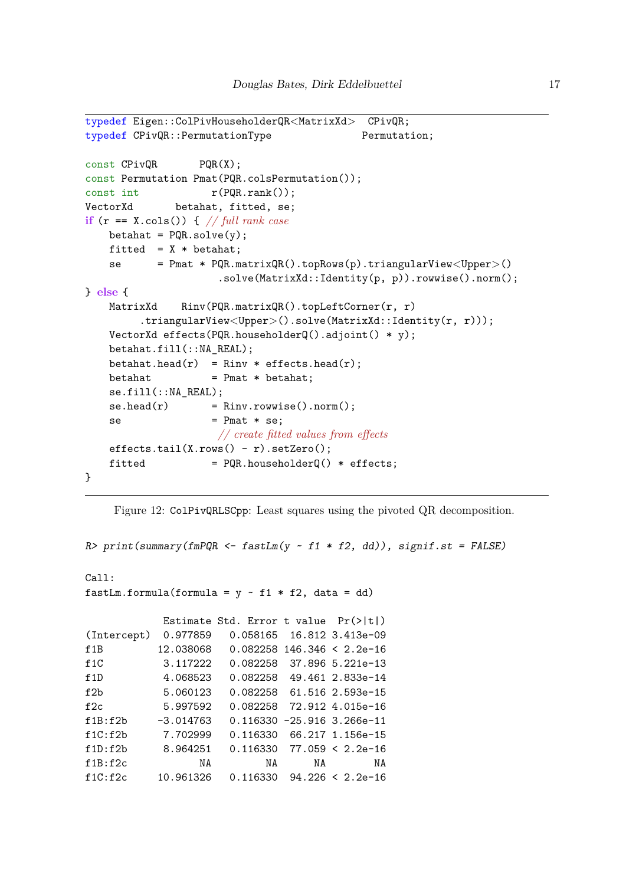```
typedef Eigen::ColPivHouseholderQR<MatrixXd> CPivQR;
typedef CPivQR::PermutationType Permutation;
const CPivQR PQR(X);
const Permutation Pmat(PQR.colsPermutation());
const int r(PQR.random));
VectorXd betahat, fitted, se;
if (r == X.cols()) { // full rank case
   beta = PQR.solve(y);fitted = X * \text{beta};
   se = Pmat * PQR.matrixQR().topRows(p).triangularView<Upper>()
                    .solve(MatrixXd::Identity(p, p)).rowwise().norm();
} else {
   MatrixXd Rinv(PQR.matrixQR().topLeftCorner(r, r)
        .triangularView<Upper>().solve(MatrixXd::Identity(r, r)));
   VectorXd effects(PQR.householderQ().adjoint() * y);
   betahat.fill(::NA_REAL);
   betahat.head(r) = Rinv * effects.head(r);
   beta = Pmat * betahat;
   se.fill(::NA_REAL);
   se.head(r) = Rinv.rowwise().norm();
   se = Pmat * se;
                    // create fitted values from effects
   effects.tail(X.rows() - r).setZero();
   fitted = PQR.householderQ() * effects;}
```

```
Figure 12: ColPivQRLSCpp: Least squares using the pivoted QR decomposition.
```

```
R> print(summary(fmPQR <- fastLm(y ~ f1 * f2, dd)), signif.st = FALSE)
Call:
fastLm.formula(formula = y \sim f1 * f2, data = dd)
           Estimate Std. Error t value Pr(>|t|)
(Intercept) 0.977859 0.058165 16.812 3.413e-09
f1B 12.038068 0.082258 146.346 < 2.2e-16
f1C 3.117222 0.082258 37.896 5.221e-13
f1D 4.068523 0.082258 49.461 2.833e-14
f2b 5.060123 0.082258 61.516 2.593e-15
f2c 5.997592 0.082258 72.912 4.015e-16
f1B:f2b -3.014763 0.116330 -25.916 3.266e-11
f1C:f2b 7.702999 0.116330 66.217 1.156e-15
f1D:f2b 8.964251 0.116330 77.059 < 2.2e-16
f1B:f2c NA NA NA NA
f1C:f2c 10.961326 0.116330 94.226 < 2.2e-16
```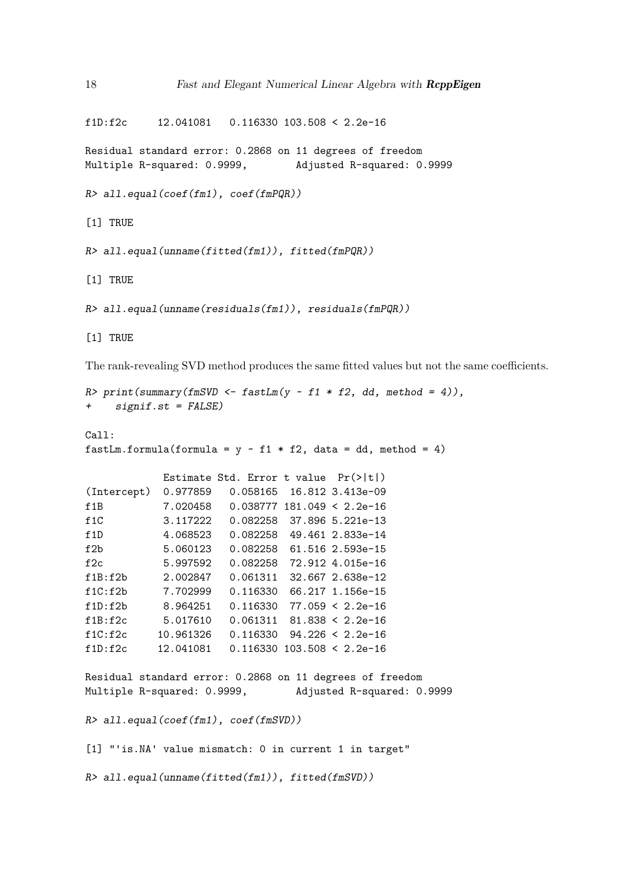f1D:f2c 12.041081 0.116330 103.508 < 2.2e-16

Residual standard error: 0.2868 on 11 degrees of freedom Multiple R-squared: 0.9999, Adjusted R-squared: 0.9999

*R> all.equal(coef(fm1), coef(fmPQR))*

[1] TRUE

```
R> all.equal(unname(fitted(fm1)), fitted(fmPQR))
```
[1] TRUE

```
R> all.equal(unname(residuals(fm1)), residuals(fmPQR))
```
[1] TRUE

The rank-revealing SVD method produces the same fitted values but not the same coefficients.

```
R> print(summary(fmSVD <- fastLm(y ~ f1 * f2, dd, method = 4)),
+ signif.st = FALSE)
Call:
fastLm.formula(formula = y - f1 * f2, data = dd, method = 4)
           Estimate Std. Error t value Pr(>|t|)
(Intercept) 0.977859 0.058165 16.812 3.413e-09
f1B 7.020458 0.038777 181.049 < 2.2e-16
f1C 3.117222 0.082258 37.896 5.221e-13
f1D 4.068523 0.082258 49.461 2.833e-14
f2b 5.060123 0.082258 61.516 2.593e-15
f2c 5.997592 0.082258 72.912 4.015e-16
f1B:f2b 2.002847 0.061311 32.667 2.638e-12
f1C:f2b 7.702999 0.116330 66.217 1.156e-15
f1D:f2b 8.964251 0.116330 77.059 < 2.2e-16
f1B:f2c 5.017610 0.061311 81.838 < 2.2e-16
f1C:f2c 10.961326 0.116330 94.226 < 2.2e-16
f1D:f2c 12.041081 0.116330 103.508 < 2.2e-16
Residual standard error: 0.2868 on 11 degrees of freedom
Multiple R-squared: 0.9999, Adjusted R-squared: 0.9999
R> all.equal(coef(fm1), coef(fmSVD))
[1] "'is.NA' value mismatch: 0 in current 1 in target"
R> all.equal(unname(fitted(fm1)), fitted(fmSVD))
```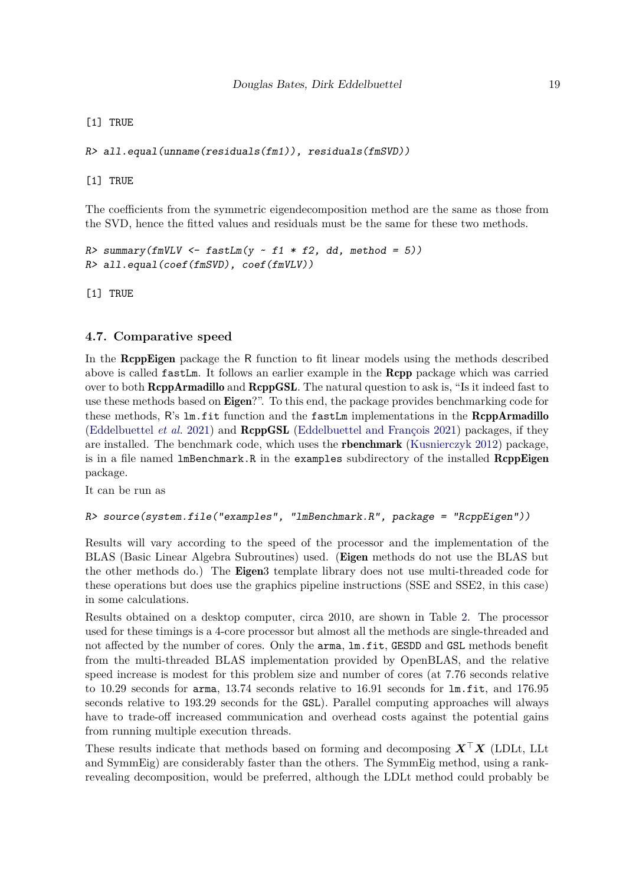[1] TRUE

*R> all.equal(unname(residuals(fm1)), residuals(fmSVD))*

[1] TRUE

The coefficients from the symmetric eigendecomposition method are the same as those from the SVD, hence the fitted values and residuals must be the same for these two methods.

```
R> summary(fmVLV <- fastLm(y ~ f1 * f2, dd, method = 5))
R> all.equal(coef(fmSVD), coef(fmVLV))
```
[1] TRUE

### **4.7. Comparative speed**

In the RcppEigen package the R function to fit linear models using the methods described above is called fastLm. It follows an earlier example in the Rcpp package which was carried over to both **ReppArmadillo** and **ReppGSL**. The natural question to ask is, "Is it indeed fast to use these methods based on Eigen?". To this end, the package provides benchmarking code for these methods, R's lm.fit function and the fastLm implementations in the ReppArmadillo [\(Eddelbuettel](#page-22-11) *et al.* [2021\)](#page-22-11) and RcppGSL [\(Eddelbuettel and François 2021\)](#page-22-12) packages, if they are installed. The benchmark code, which uses the rbenchmark [\(Kusnierczyk 2012\)](#page-22-13) package, is in a file named  $lmBenchmark.R$  in the examples subdirectory of the installed  $RcppEigen$ package.

It can be run as

```
R> source(system.file("examples", "lmBenchmark.R", package = "RcppEigen"))
```
Results will vary according to the speed of the processor and the implementation of the BLAS (Basic Linear Algebra Subroutines) used. (Eigen methods do not use the BLAS but the other methods do.) The **Eigen**3 template library does not use multi-threaded code for these operations but does use the graphics pipeline instructions (SSE and SSE2, in this case) in some calculations.

Results obtained on a desktop computer, circa 2010, are shown in Table [2.](#page-19-0) The processor used for these timings is a 4-core processor but almost all the methods are single-threaded and not affected by the number of cores. Only the arma, lm.fit, GESDD and GSL methods benefit from the multi-threaded BLAS implementation provided by OpenBLAS, and the relative speed increase is modest for this problem size and number of cores (at 7.76 seconds relative to 10.29 seconds for arma, 13.74 seconds relative to 16.91 seconds for lm.fit, and 176.95 seconds relative to 193.29 seconds for the GSL). Parallel computing approaches will always have to trade-off increased communication and overhead costs against the potential gains from running multiple execution threads.

These results indicate that methods based on forming and decomposing *X*⊤*X* (LDLt, LLt and SymmEig) are considerably faster than the others. The SymmEig method, using a rankrevealing decomposition, would be preferred, although the LDLt method could probably be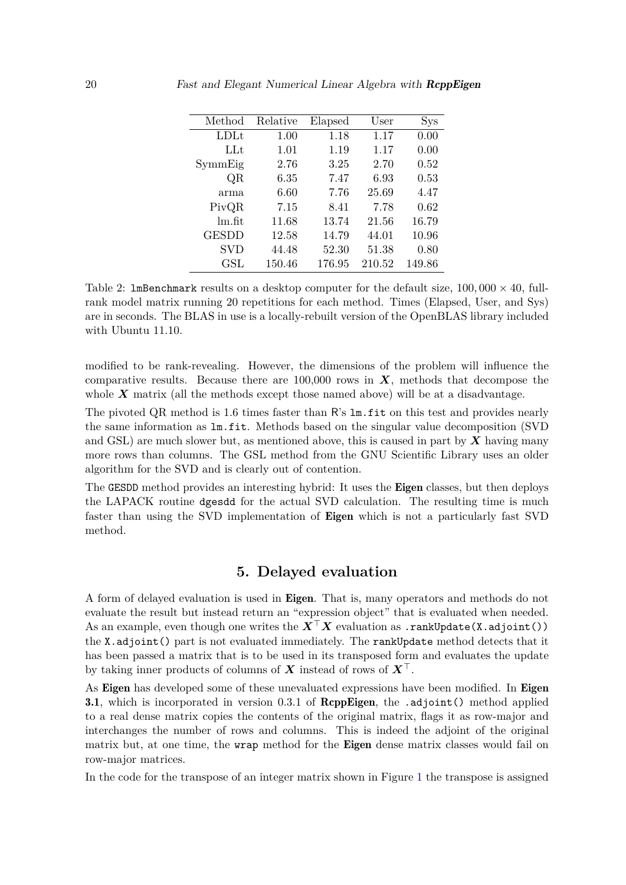| Method               | Relative | Elapsed | User   | S <sub>YS</sub> |
|----------------------|----------|---------|--------|-----------------|
| LD <sub>Lt</sub>     | 1.00     | 1.18    | 1.17   | 0.00            |
| LLt                  | 1.01     | 1.19    | 1.17   | 0.00            |
| SymmEig              | 2.76     | 3.25    | 2.70   | 0.52            |
| QR                   | 6.35     | 7.47    | 6.93   | 0.53            |
| arma                 | 6.60     | 7.76    | 25.69  | 4.47            |
| PivQR                | 7.15     | 8.41    | 7.78   | 0.62            |
| lm.fit               | 11.68    | 13.74   | 21.56  | 16.79           |
| <b>GESDD</b>         | 12.58    | 14.79   | 44.01  | 10.96           |
| <b>SVD</b>           | 44.48    | 52.30   | 51.38  | 0.80            |
| $\operatorname{GSL}$ | 150.46   | 176.95  | 210.52 | 149.86          |

<span id="page-19-0"></span>Table 2: **lmBenchmark** results on a desktop computer for the default size,  $100,000 \times 40$ , fullrank model matrix running 20 repetitions for each method. Times (Elapsed, User, and Sys) are in seconds. The BLAS in use is a locally-rebuilt version of the OpenBLAS library included with Ubuntu 11.10.

modified to be rank-revealing. However, the dimensions of the problem will influence the comparative results. Because there are  $100,000$  rows in  $\boldsymbol{X}$ , methods that decompose the whole **X** matrix (all the methods except those named above) will be at a disadvantage.

The pivoted QR method is 1.6 times faster than R's lm.fit on this test and provides nearly the same information as lm.fit. Methods based on the singular value decomposition (SVD and GSL) are much slower but, as mentioned above, this is caused in part by *X* having many more rows than columns. The GSL method from the GNU Scientific Library uses an older algorithm for the SVD and is clearly out of contention.

The GESDD method provides an interesting hybrid: It uses the Eigen classes, but then deploys the LAPACK routine dgesdd for the actual SVD calculation. The resulting time is much faster than using the SVD implementation of Eigen which is not a particularly fast SVD method.

# **5. Delayed evaluation**

A form of delayed evaluation is used in Eigen. That is, many operators and methods do not evaluate the result but instead return an "expression object" that is evaluated when needed. As an example, even though one writes the *X*⊤*X* evaluation as .rankUpdate(X.adjoint()) the X.adjoint() part is not evaluated immediately. The rankUpdate method detects that it has been passed a matrix that is to be used in its transposed form and evaluates the update by taking inner products of columns of *X* instead of rows of  $X^{\perp}$ .

As Eigen has developed some of these unevaluated expressions have been modified. In Eigen **3.1**, which is incorporated in version 0.3.1 of **ReppEigen**, the .adjoint() method applied to a real dense matrix copies the contents of the original matrix, flags it as row-major and interchanges the number of rows and columns. This is indeed the adjoint of the original matrix but, at one time, the **wrap** method for the **Eigen** dense matrix classes would fail on row-major matrices.

In the code for the transpose of an integer matrix shown in Figure [1](#page-4-0) the transpose is assigned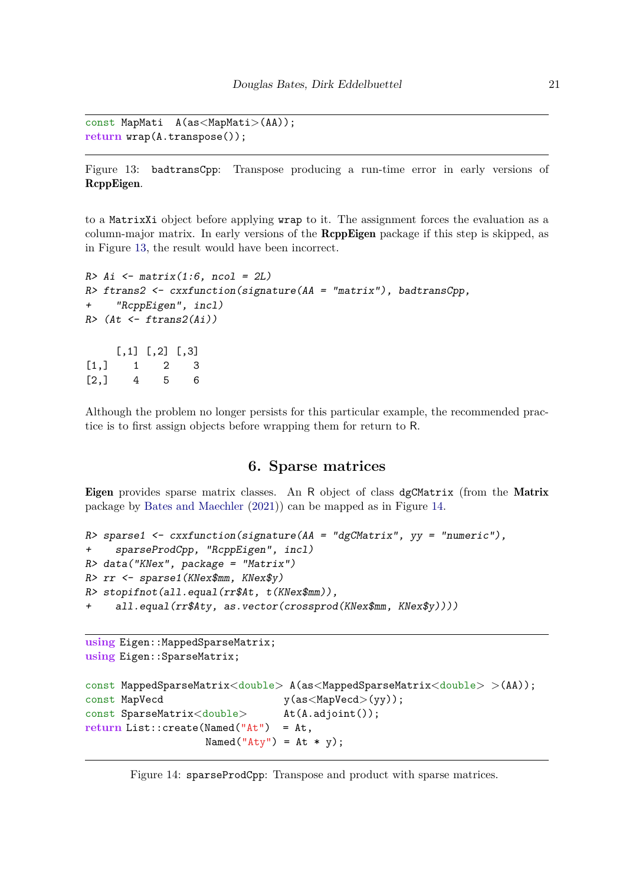```
const MapMati A(as<MapMati>(AA));
return wrap(A.transpose());
```
<span id="page-20-0"></span>Figure 13: badtransCpp: Transpose producing a run-time error in early versions of RcppEigen.

to a MatrixXi object before applying wrap to it. The assignment forces the evaluation as a column-major matrix. In early versions of the RcppEigen package if this step is skipped, as in Figure [13,](#page-20-0) the result would have been incorrect.

```
R> Ai <- matrix(1:6, ncol = 2L)
R> ftrans2 <- cxxfunction(signature(AA = "matrix"), badtransCpp,
      + "RcppEigen", incl)
R> (At <- ftrans2(Ai))
     [,1] [,2] [,3]\begin{bmatrix} 1, \\ 1 \end{bmatrix} 1 2 3
[2,] 4 5 6
```
Although the problem no longer persists for this particular example, the recommended practice is to first assign objects before wrapping them for return to R.

### **6. Sparse matrices**

Eigen provides sparse matrix classes. An R object of class dgCMatrix (from the Matrix package by [Bates and Maechler](#page-22-14) [\(2021\)](#page-22-14)) can be mapped as in Figure [14.](#page-20-1)

```
R> sparse1 <- cxxfunction(signature(AA = "dgCMatrix", yy = "numeric"),
+ sparseProdCpp, "RcppEigen", incl)
R> data("KNex", package = "Matrix")
R> rr <- sparse1(KNex$mm, KNex$y)
R> stopifnot(all.equal(rr$At, t(KNex$mm)),
     + all.equal(rr$Aty, as.vector(crossprod(KNex$mm, KNex$y))))
```

```
using Eigen::MappedSparseMatrix;
using Eigen::SparseMatrix;
```

```
const MappedSparseMatrix<double> A(as<MappedSparseMatrix<double> >(AA));
const MapVecd y(as<MapVecd>(yy));
const SparseMatrix<double> At(A.adjoint());
return List::create(Named("At") = At,
                 Named("Aty") = At * y);
```
<span id="page-20-1"></span>Figure 14: sparseProdCpp: Transpose and product with sparse matrices.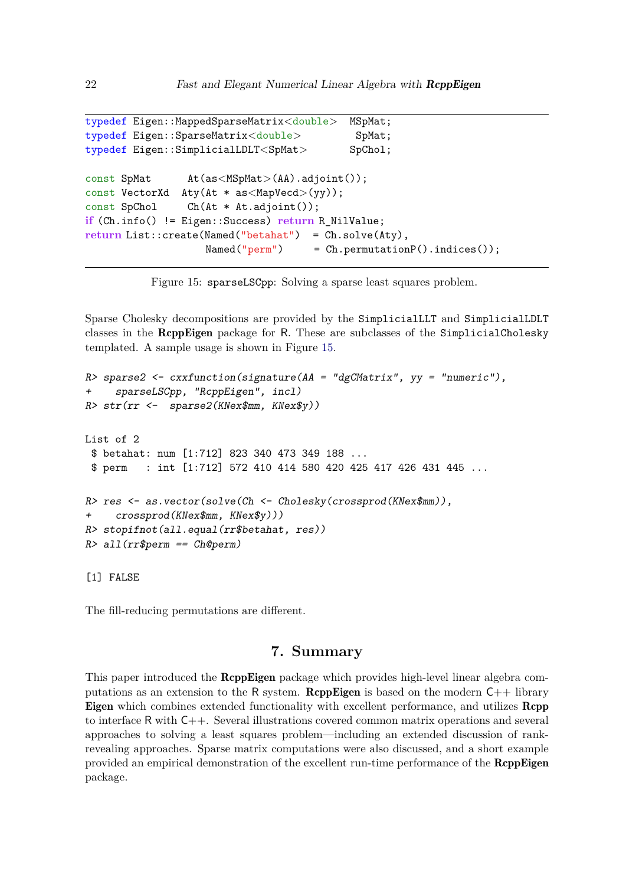```
typedef Eigen::MappedSparseMatrix<double> MSpMat;
typedef Eigen::SparseMatrix<double> SpMat;
typedef Eigen::SimplicialLDLT<SpMat> SpChol;
const SpMat At(as <b>MSpMat</b>>(AA).adjoint());
const VectorXd Aty(At * as<MapVecd>(yy));
const SpChol Ch(At * At.adjoint());
if (Ch.info() != Eigen::Success) return R_NilValue;
return List::create(Named("betahat") = Ch.solve(Aty),
                   Named("perm") = Ch.permutationP().indices());
```
<span id="page-21-0"></span>Figure 15: sparseLSCpp: Solving a sparse least squares problem.

Sparse Cholesky decompositions are provided by the SimplicialLLT and SimplicialLDLT classes in the RcppEigen package for R. These are subclasses of the SimplicialCholesky templated. A sample usage is shown in Figure [15.](#page-21-0)

```
R> sparse2 <- cxxfunction(signature(AA = "dgCMatrix", yy = "numeric"),
+ sparseLSCpp, "RcppEigen", incl)
R> str(rr <- sparse2(KNex$mm, KNex$y))
List of 2
 $ betahat: num [1:712] 823 340 473 349 188 ...
 $ perm : int [1:712] 572 410 414 580 420 425 417 426 431 445 ...
R> res <- as.vector(solve(Ch <- Cholesky(crossprod(KNex$mm)),
     + crossprod(KNex$mm, KNex$y)))
R> stopifnot(all.equal(rr$betahat, res))
R> all(rr$perm == Ch@perm)
```
[1] FALSE

The fill-reducing permutations are different.

# **7. Summary**

This paper introduced the RcppEigen package which provides high-level linear algebra computations as an extension to the R system. **ReppEigen** is based on the modern  $C_{++}$  library Eigen which combines extended functionality with excellent performance, and utilizes Rcpp to interface R with C++. Several illustrations covered common matrix operations and several approaches to solving a least squares problem—including an extended discussion of rankrevealing approaches. Sparse matrix computations were also discussed, and a short example provided an empirical demonstration of the excellent run-time performance of the **RcppEigen** package.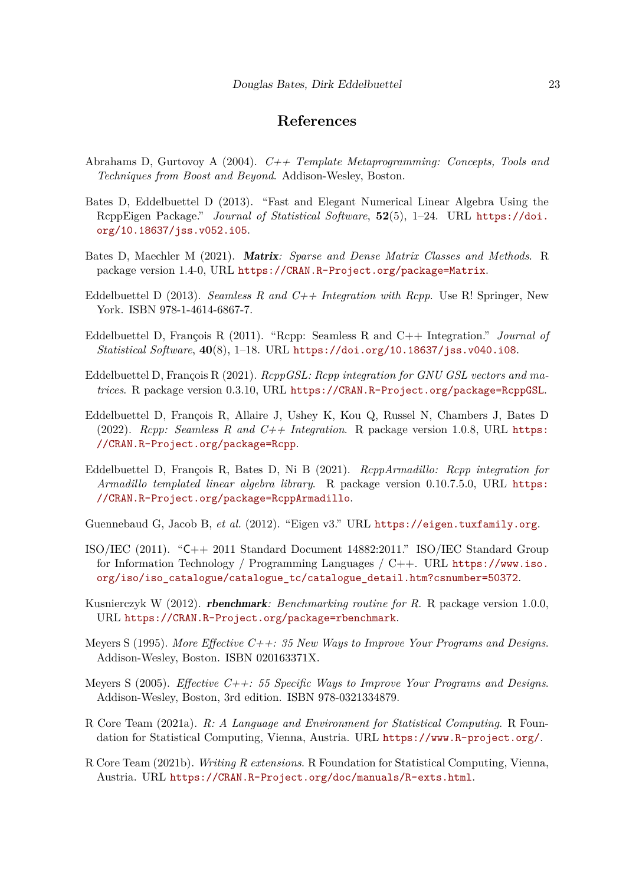# **References**

- <span id="page-22-10"></span>Abrahams D, Gurtovoy A (2004). *C++ Template Metaprogramming: Concepts, Tools and Techniques from Boost and Beyond*. Addison-Wesley, Boston.
- <span id="page-22-4"></span>Bates D, Eddelbuettel D (2013). "Fast and Elegant Numerical Linear Algebra Using the RcppEigen Package." *Journal of Statistical Software*, **52**(5), 1–24. URL [https://doi.](https://doi.org/10.18637/jss.v052.i05) [org/10.18637/jss.v052.i05](https://doi.org/10.18637/jss.v052.i05).
- <span id="page-22-14"></span>Bates D, Maechler M (2021). Matrix*: Sparse and Dense Matrix Classes and Methods*. R package version 1.4-0, URL <https://CRAN.R-Project.org/package=Matrix>.
- <span id="page-22-3"></span>Eddelbuettel D (2013). *Seamless R and C++ Integration with Rcpp*. Use R! Springer, New York. ISBN 978-1-4614-6867-7.
- <span id="page-22-9"></span>Eddelbuettel D, François R (2011). "Rcpp: Seamless R and C++ Integration." *Journal of Statistical Software*, **40**(8), 1–18. URL <https://doi.org/10.18637/jss.v040.i08>.
- <span id="page-22-12"></span>Eddelbuettel D, François R (2021). *RcppGSL: Rcpp integration for GNU GSL vectors and matrices*. R package version 0.3.10, URL <https://CRAN.R-Project.org/package=RcppGSL>.
- <span id="page-22-2"></span>Eddelbuettel D, François R, Allaire J, Ushey K, Kou Q, Russel N, Chambers J, Bates D (2022). *Rcpp: Seamless R and C++ Integration*. R package version 1.0.8, URL [https:](https://CRAN.R-Project.org/package=Rcpp) [//CRAN.R-Project.org/package=Rcpp](https://CRAN.R-Project.org/package=Rcpp).
- <span id="page-22-11"></span>Eddelbuettel D, François R, Bates D, Ni B (2021). *RcppArmadillo: Rcpp integration for Armadillo templated linear algebra library*. R package version 0.10.7.5.0, URL [https:](https://CRAN.R-Project.org/package=RcppArmadillo) [//CRAN.R-Project.org/package=RcppArmadillo](https://CRAN.R-Project.org/package=RcppArmadillo).

<span id="page-22-1"></span>Guennebaud G, Jacob B, *et al.* (2012). "Eigen v3." URL <https://eigen.tuxfamily.org>.

- <span id="page-22-7"></span>ISO/IEC (2011). "C++ 2011 Standard Document 14882:2011." ISO/IEC Standard Group for Information Technology / Programming Languages / C++. URL [https://www.iso.](https://www.iso.org/iso/iso_catalogue/catalogue_tc/catalogue_detail.htm?csnumber=50372) [org/iso/iso\\_catalogue/catalogue\\_tc/catalogue\\_detail.htm?csnumber=50372](https://www.iso.org/iso/iso_catalogue/catalogue_tc/catalogue_detail.htm?csnumber=50372).
- <span id="page-22-13"></span>Kusnierczyk W (2012). rbenchmark*: Benchmarking routine for R*. R package version 1.0.0, URL <https://CRAN.R-Project.org/package=rbenchmark>.
- <span id="page-22-6"></span>Meyers S (1995). *More Effective C++: 35 New Ways to Improve Your Programs and Designs*. Addison-Wesley, Boston. ISBN 020163371X.
- <span id="page-22-5"></span>Meyers S (2005). *Effective C++: 55 Specific Ways to Improve Your Programs and Designs*. Addison-Wesley, Boston, 3rd edition. ISBN 978-0321334879.
- <span id="page-22-0"></span>R Core Team (2021a). *R: A Language and Environment for Statistical Computing*. R Foundation for Statistical Computing, Vienna, Austria. URL <https://www.R-project.org/>.
- <span id="page-22-8"></span>R Core Team (2021b). *Writing R extensions*. R Foundation for Statistical Computing, Vienna, Austria. URL <https://CRAN.R-Project.org/doc/manuals/R-exts.html>.